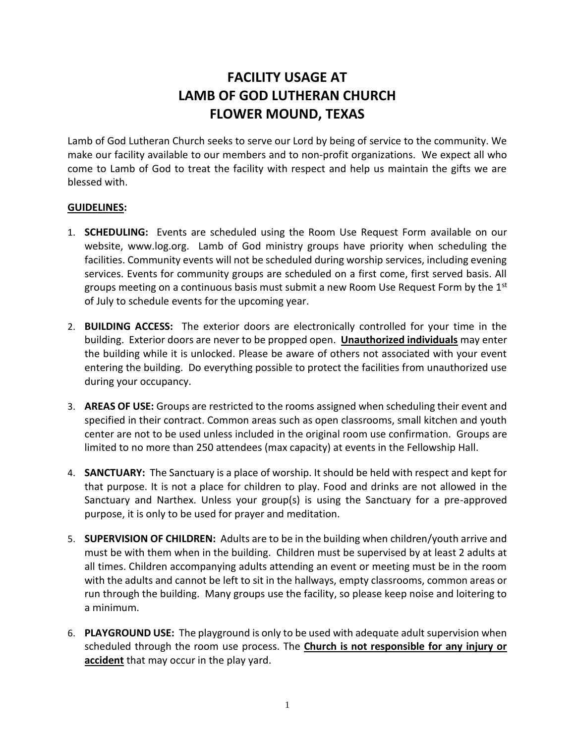## **FACILITY USAGE AT LAMB OF GOD LUTHERAN CHURCH FLOWER MOUND, TEXAS**

Lamb of God Lutheran Church seeks to serve our Lord by being of service to the community. We make our facility available to our members and to non-profit organizations. We expect all who come to Lamb of God to treat the facility with respect and help us maintain the gifts we are blessed with.

## **GUIDELINES:**

- 1. **SCHEDULING:** Events are scheduled using the Room Use Request Form available on our website, www.log.org. Lamb of God ministry groups have priority when scheduling the facilities. Community events will not be scheduled during worship services, including evening services. Events for community groups are scheduled on a first come, first served basis. All groups meeting on a continuous basis must submit a new Room Use Request Form by the  $1^{st}$ of July to schedule events for the upcoming year.
- 2. **BUILDING ACCESS:** The exterior doors are electronically controlled for your time in the building. Exterior doors are never to be propped open. **Unauthorized individuals** may enter the building while it is unlocked. Please be aware of others not associated with your event entering the building. Do everything possible to protect the facilities from unauthorized use during your occupancy.
- 3. **AREAS OF USE:** Groups are restricted to the rooms assigned when scheduling their event and specified in their contract. Common areas such as open classrooms, small kitchen and youth center are not to be used unless included in the original room use confirmation. Groups are limited to no more than 250 attendees (max capacity) at events in the Fellowship Hall.
- 4. **SANCTUARY:** The Sanctuary is a place of worship. It should be held with respect and kept for that purpose. It is not a place for children to play. Food and drinks are not allowed in the Sanctuary and Narthex. Unless your group(s) is using the Sanctuary for a pre-approved purpose, it is only to be used for prayer and meditation.
- 5. **SUPERVISION OF CHILDREN:** Adults are to be in the building when children/youth arrive and must be with them when in the building. Children must be supervised by at least 2 adults at all times. Children accompanying adults attending an event or meeting must be in the room with the adults and cannot be left to sit in the hallways, empty classrooms, common areas or run through the building. Many groups use the facility, so please keep noise and loitering to a minimum.
- 6. **PLAYGROUND USE:** The playground is only to be used with adequate adult supervision when scheduled through the room use process. The **Church is not responsible for any injury or**  accident that may occur in the play yard.